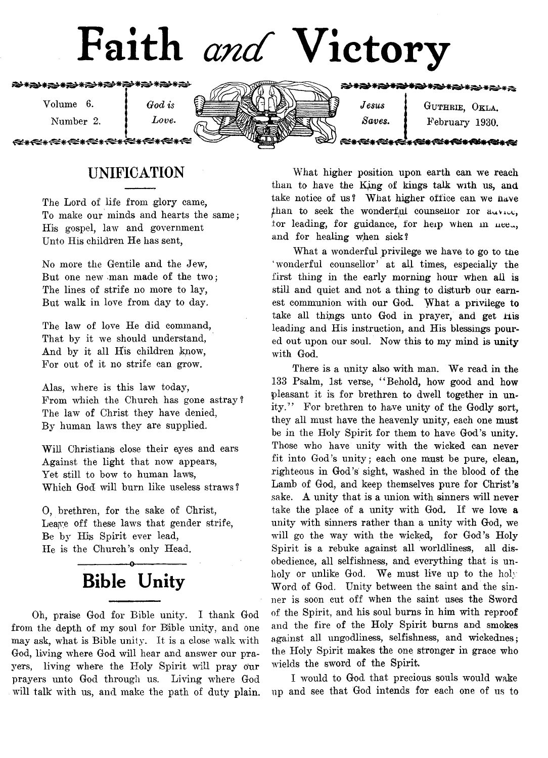# Faith *and* Victory

Volume 6. Number 2.

<del>≪∗≪∗≪∗≪∗≪∗≪</del>

*God is Love.*

*Jesus* **i** GUTHRIE, OKLA. *Saves,* j February 1930.

#### **UNIFICATION**

The Lord of life from glory came, To make our minds and hearts the same; His gospel, law and government Unto His children He has sent,

No more the Gentile and the Jew, But one new man made of the two; The lines of strife no more to lay, But walk in love from day to day.

The law of love He did command, That by it we should understand, And by it all His children know, For out of it no strife can grow.

Alas, where is this law today, From which the Church has gone astray? The law of Christ they have denied, By human laws they are supplied.

Will Christians close their eyes and ears Against the light that now appears, Yet still to bow to human laws, Which God will burn like useless straws?

0, brethren, for the sake of Christ, Leave off these laws that gender strife, Be by His Spirit ever lead, He is the Church's only Head.

# Bible Unity

Oh, praise God for Bible unity. I thank God from the depth of my soul for Bible unity, and one may ask, what is Bible unity. It is a close walk with God, living where God will hear and answer our prayers, living where the Holy Spirit will pray our prayers unto God through us. Living where God will talk with us, and make the path of duty plain.

What higher position upon earth can we reach than to have the King of kings talk with us, and take notice of us? What higher office can we have than to seek the wonderful counsellor ior auvice, tor leading, for guidance, for heip when in nee., and for healing when sick?

What a wonderful privilege we have to go to the ' wonderful counsellor' at all times, especially the first thing in the early morning hour when all is still and quiet and not a thing to disturb our earnest communion with our God. What a privilege to take all things unto God in prayer, and get ris leading and His instruction, and His blessings poured out upon our soul. Now this to my mind is unity with God.

There is a unity also with man. We read in the 133 Psalm, 1st verse, " Behold, how good and how pleasant it is for brethren to dwell together in unity." For brethren to have unity of the Godly sort, they all must have the heavenly unity, each one must be in the Holy Spirit for them to have God's unity. Those who have unity with the wicked can never fit into God's unity; each one must be pure, clean, righteous in God's sight, washed in the blood of the Lamb of God, and keep themselves pure for Christ's sake. A unity that is a union with sinners will never take the place of a unity with God, If we love a unity with sinners rather than a unity with God, we will go the way with the wicked, for God's Holy Spirit is a rebuke against all worldliness, all disobedience, all selfishness, and everything that is unholy or unlike God. We must live up to the holy Word of God. Unity between the saint and the sinner is soon cut off when the saint uses the Sword of the Spirit, and his soul burns in him with reproof and the fire of the Holy Spirit burns and smokes against all ungodliness, selfishness, and wickednes; the Holy Spirit makes the one stronger in grace who wields the sword of the Spirit.

I would to God that precious souls would wake up and see that God intends for each one of us to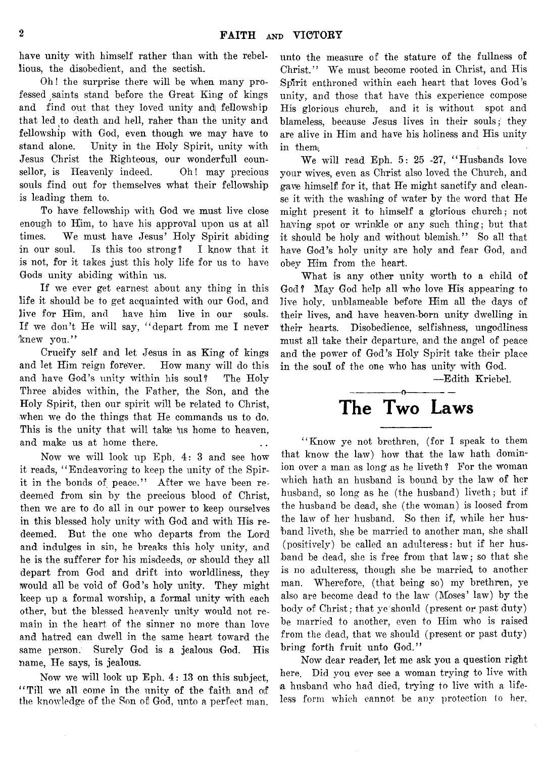have unity with himself rather than with the rebellious, the disobedient, and the sectish.

Oh! the surprise there will be when many professed saints stand before the Great King of kings and find out that they loved unity and fellowship that led *to* death and hell, raher than the unity and fellowship with God, even though we may have to stand alone. Unity in the Holy Spirit, unity with Jesus Christ the Righteous, our wonderfull counsellor, is Heavenly indeed. Oh! may precious souls find out for themselves what their fellowship is leading them to.

To have fellowship with God we must live close enough to Him, to have his approval upon us at all times. We must have Jesus' Holy Spirit abiding in our soul. Is this too strong? I know that it is not, for it takes just this holy life for us to have Gods unity abiding Within us.

If we ever get earnest about any thing in this life it should be to get acquainted with our God, and live for Him, and have him live in our souls. If we don't He will say, " depart from me I never knew you."

Crucify self and let Jesus in as King of kings and let Him reign forever. How many will do this and have God's unity within his soul? The Holy Three abides within, the Father, the Son, and the Holy Spirit, then our spirit will be related to Christ, when we do the things that He commands us to do. This is the unity that will take us home to heaven, and make us at home there.

Now we will look up Eph, 4: 3 and see how it reads, " Endeavoring to keep the unity of the Spirit in the bonds of peace." After we have been redeemed from sin by the precious blood of Christ, then we are to do all in our power to keep ourselves in this blessed holy unity with God and with His redeemed. But the one who departs from the Lord and indulges in sin, he breaks this holy unity, and he is the sufferer for his misdeeds, or should they all depart from God and drift into worldliness, they would all be void of God's holy unity. They might keep up a formal worship, a formal unity with each other, but the blessed heavenly unity would not remain in the heart of the sinner no more than love and hatred can dwell in the same heart toward the same person. Surely God is a jealous God. His name, He says, is jealous.

Now we will look up Eph. 4: 13 on this subject, "Till we all come in the unity of the faith and of the knowledge of the Son of God, unto a perfect man. unto the measure of the stature of the fullness of Christ." We must become rooted in Christ, and His Spirit enthroned within each heart that loves God's unity, and those that have this experience compose His glorious church, and it is without spot and blameless, because Jesus lives in their souls; they are alive in Him and have his holiness and His unity in them;

We will read Eph. 5: 25 -27, "Husbands love your wives, even as Christ also loved the Church, and gaye himself for it, that He might sanctify and cleanse it with the washing of water by the word that He might present it to himself a glorious church; not having spot or wrinkle or any such thing; but that it should be holy and without blemish." So all that have God's holy unity are holy and fear God, and obey Him from the heart.

What is any other unity worth to a child of God? May God help all who love His appearing to live holy, unblameable before Him all the days of their lives, and have heaven-born unity dwelling in their hearts. Disobedience, selfishness, ungodliness must all take their departure, and the angel of peace and the power of God's Holy Spirit take their place in the soul of the one who has unity with God.

—Edith Kriebel.

#### ---------------- o---------------- The Two Laws

" Know ye not brethren, (for I speak to them that know the law) how that the law hath dominion over a man as long as he liveth? For the woman which hath an husband is bound by the law of her husband, so long as he (the husband) liveth; but if the husband be dead, she (the woman) is loosed from the law of her husband. So then if, while her husband liveth, she be married to another man, she shall (positively) be called an adulteress: but if her husband be dead, she is free from that law; so that she is no adulteress, though she be married, to another man. Wherefore, (that being so) my brethren, ye also are become dead to the law (Moses' law) by the body of Christ; that ye should (present or past duty) be married to another, even to Him who is raised from the dead, that we should (present or past duty) bring forth fruit unto God."

Now dear reader, let me ask you a question right here. Did you ever see a woman trying to live with a husband who had died, trying to live with a lifeless form which cannot be any protection to her,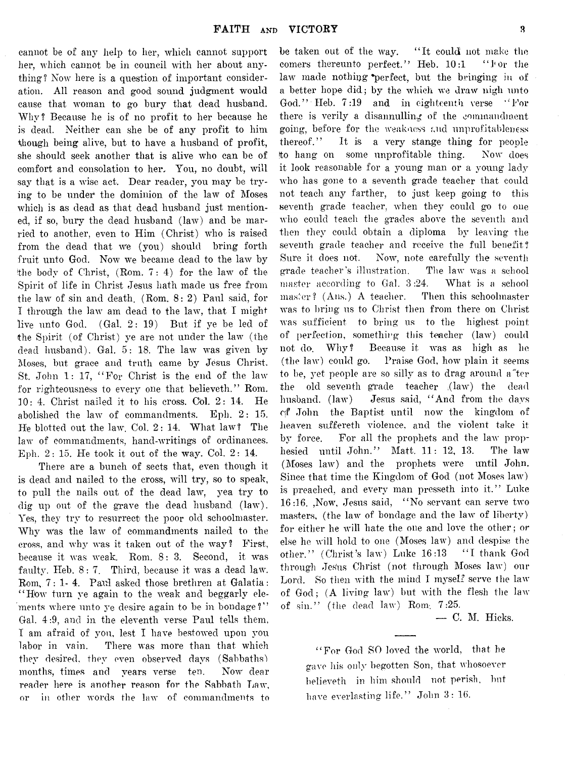cannot be of any help to her, which cannot support her, which cannot be in council with her about anything? Now here is a question of important consideration. All reason and good sound judgment would cause that woman to go bury that dead husband. Why? Because he is of no profit to her because he is dead. Neither can she be of any profit to him though being alive, but to have a husband of profit, she should seek another that is alive who can be of comfort and consolation to her. You, no doubt, will say that is a wise act. Dear reader, you may be trying to be under the dominion of the law of Moses which is as dead as that dead husband just mentioned, if so, bury the dead husband (law) and be married to another, even to Him (Christ) who is raised from the dead that we (you) should bring forth fruit unto God. Now we became dead to the law by the body of Christ, (Rom. 7: 4) for the law of the Spirit of life in Christ Jesus hath made us free from the law of sin and death. (Rom. 8: 2) Paul said, for T through the law am dead to the law, that I might live unto God. (Gal. 2: 19) But if ye be led of the Spirit (of Christ) ye are not under the law (the dead husband). Gal. 5: 18. The law was given by Moses, but grace and truth came by Jesus Christ. St. John 1: 17, " For Christ is the end of the law for righteousness to every one that believeth." Rom. 10: 4. Christ nailed it to his cross. Col. 2: 14. He abolished the law of commandments. Eph. 2: 15. He blotted out the law. Col. 2: 14. What law? The law of commandments, hand-writings of ordinances. Eph. 2: 15. He took it out of the way. Col. 2: 14.

There are a bunch of sects that, even though it is dead and nailed to the cross, will try, so to speak, to pull the nails out of the dead law, yea try to dig up out of the grave the dead husband (law). Yes, they try to resurrect the poor old schoolmaster. Why Was the law of commandments nailed to the cross, and why was it taken out of the way? First, because it was weak. Rom. 8: 3. Second, it was faulty. Heb. 8: 7. Third, because it was a dead law. Rom, 7: 1- 4. Paul asked those brethren at Galatia: " How turn ye again to the weak and beggarly elements where unto ye desire again to be in bondage?" Gal. 4:9, and in the eleventh verse Paul tells them, I am afraid of you, lest I have bestowed upon you labor in vain. There was more than that which they desired, they even observed days (Sabbaths) months, times and years verse ten. Now dear reader here is another reason for the Sabbath Law, or in other words the law of commandments to be taken out of the way. "It could not make the comers thereunto perfect." Heb. 10:1 "For the law made nothing perfect, but the bringing in of a better hope did; by the which we draw nigh unto God." Heb. 7:19 and in eighteenth verse "For there is verily a disannulling of the commandment going, before for the weakness and unprofitableness thereof. " It is a very stange thing for people to hang on some unprofitable thing. Now does it look reasonable for a young man or a young lady who has gone to a seventh grade teacher that could not teach any farther, to just keep going to this seventh grade teacher, when they could go to one who could teach the grades above the seventh and then they could obtain a diploma by leaving the seventh grade teacher and receive the full benefit? Sure it does not. Now, note carefully the seventh grade teacher's illustration. The law was a school master according to Gal. 3 :24. What is a school master? (Ans.) A teacher. Then this schoolmaster was to bring us to Christ then from there on Christ was sufficient to bring us to the highest point of perfection, something this teacher (law) could not do-. Why? Because it was as high as he (the law) could go. Praise God, how plain it seems to be, yet people are so silly as to drag around a ter the old seventh grade teacher ;(law) the dead husband, (law) Jesus said, " And from the days ojf John the Baptist until now the kingdom of heaven suffereth violence, and the violent take it by force. For all the prophets and the law prophesied until John." Matt. 11: 12, 13. The law (Moses law) and the prophets were until John. Since that time the Kingdom of God (not Moses law) is preached, and every man presseth into it." Luke 16:16. ,Now, Jesus said, " No servant can serve two masters, (the law of bondage and the law of liberty) for either he will hate the one and love the other; or else he will hold to one (Moses law) and despise the other." ( Christ's law) Luke 16:13 " I thank God through Jekus Christ (not through Moses law) our Lord. So then with the mind I myself serve the law of God; (A living law) but with the flesh the law of sin." (the dead law) Rom. 7:25.

— C. M. Hicks.

"For God SO loved the world, that he gave his only begotten Son, that whosoever believeth in him should not perish, but have everlasting life." John 3: 16.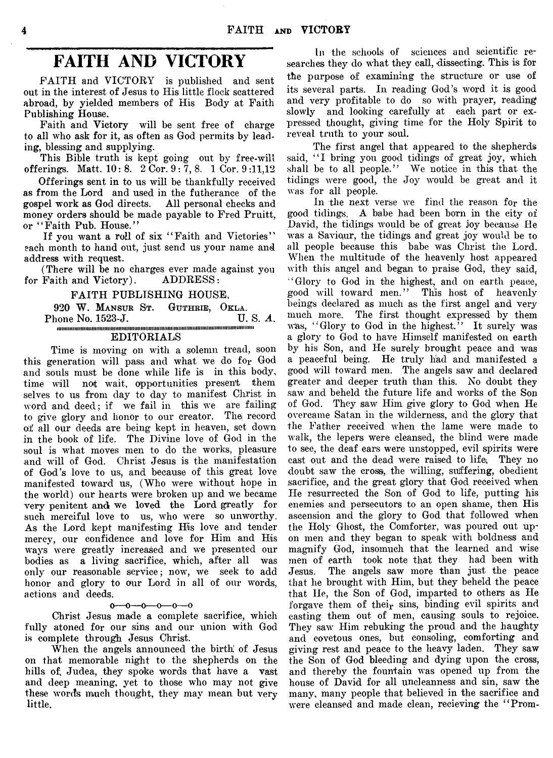### **FAITH AND VICTORY**

FAITH and VICTORY is published and sent out in the interest of Jesus to His little flock scattered abroad, by yielded members of His Body at Faith Publishing House.

Faith and Victory will be sent free of charge to all who ask for it, as often as God permits by leading, blessing and supplying.

This Bible truth is kept going out by free-will offerings. Matt.  $10: 8. 2 \text{Cor. } 9: 7, 8. 1 \text{Cor. } 9:11.12$ 

Offerings sent in to us will be thankfully received as from the Lord and used in the futherance of the gospel work as God directs. All personal checks and gospel work as God directs. money orders should be made payable to Fred Pruitt, or "Faith Pub. House."

If you want a roll of six "Faith and Victories" each month to hand out, just send us your name and address with request.

(There will be no charges ever made against you for Faith and Victory).

#### FAITH PUBLISHING HOUSE,

920 W. MANSUR ST. GUTHRIE, OKLA.<br>hone No. 1523-J. Phone No. 1523-J. iiiiiiiiMiiiiimiiiimiiiiiiiiiHiimiiiimiiiiiiiiiiiiimiiiiiiiiiimmiiimiiHiimimiiiiitiiiHiiiiiiiiiiitiii

#### EDITORIALS

Time is moving on with a solemn tread, soon this generation will pass and what *we* do for God and souls must be done while life is in this body, time will not wait, opportunities present them selves to us from day to day to manifest Christ in word and deed; if we fail in this we are failing to give glory and honor to our creator. The record ox all our deeds are being kept in heaven, set down in the book of life. The Divine love of God in the soul is what moves men to do the works, pleasure and will of God. Christ Jesus is the manifestation of God's love to us, and because of this great love manifested toward us, (Who were without hope in the world) our hearts were broken up and we became very penitent and we loved the Lord greatly for such merciful love to us, who were so unworthy. As the Lord kept manifesting His love and tender mercy, our confidence and love for Him and His ways were greatly increased and we presented our bodies as a living sacrifice, which, after all was only our reasonable service; now, we seek to add honor and glory to our Lord in all of our words, actions and deeds.

#### **o—o—o—o—o—o**

Christ Jesus made a complete sacrifice, which fully atoned for our sins and our union with God is complete through Jesus Christ.

When the angels announced the birth of Jesus on that memorable night to the shepherds on the hills of, Judea, they spoke words that have a vast and deep meaning, yet to those who may not give these words much thought, they may mean but very little.

In the schools of sciences and scientific researches they do what they call, dissecting. This is for the purpose of examining the structure or use of its several parts. In reading God's word it is good and very profitable to do so with prayer, reading slowly and looking carefully at each part or expressed thought, giving time for the Holy Spirit to reveal truth to your soul.

The first angel that appeared to the shepherds said, "I bring you good tidings of great joy, which shall be to all people." We notice in this that the tidings were good, the Joy would be great and it was for all people.

In the next verse we find the reason for the good tidings. A babe had been born in the city of David, the tidings would be of great joy because He was a Saviour, the tidings and great joy would be to all people because this babe was Christ the Lord. When the multitude of the heavenly host appeared with this angel and began to praise God, they said, " Glory to God in the highest, and on earth peace, good will toward men." This host of heavenly beings declared as much as the first angel and very much more. The first thought expressed by them was, "Glory to God in the highest." It surely was a glory to God to have Himself manifested on earth by his Son, and He surely brought peace and was a peaceful being. He truly had and manifested a good will toward men. The angels saw and declared greater and deeper truth than this. No doubt they saw and beheld the future life and works of the Son of God. They saw Him give glory to God when He overcame Satan in the wilderness, and the glory that the Father received when the lame were made to walk, the lepers were cleansed, the blind were made to see, the deaf ears were unstopped, evil spirits were cast out and the dead were raised to lifei They no doubt saw the cross, the willing, suffering, obedient sacrifice, and the great glory that God received when He resurrected the Son of God to life, putting his enemies and persecutors to an open shame, then His ascension and the glory to God that followed when the Holy Ghost, the Comforter, was poured out upon men and they began to speak with boldness and magnify God, insomuch that the learned and wise men of earth took note that they had been with Jesus. The angels saw more than just the peace that he brought with Him, but they beheld the peace that He, the Son of God, imparted to others as He forgave them of their sins, binding evil spirits and easting them out of men, causing souls to rejoice. They saw Him rebuking the proud and the haughty and covetous ones, but consoling, comforting and giving rest and peace to the heavy laden. They saw the Son of God bleeding and dying upon the cross, and thereby the fountain was opened up from the house of David for all uncleanness and sin, saw the many, many people that believed in the sacrifice and were cleansed and made clean, recieving the " Prom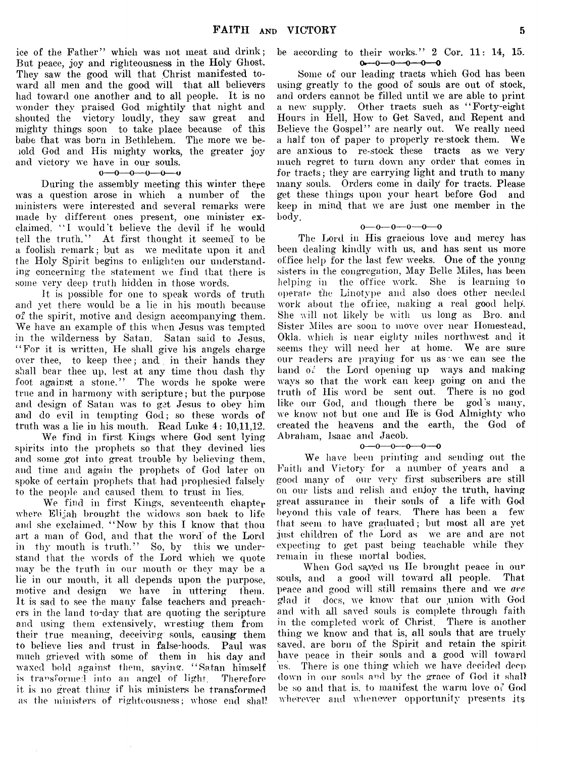ice of the Father" which was not meat and drink; But peace, joy and righteousness in the Holy Ghost. They saw the good will that Christ manifested toward all men and the good will that all believers had toward one another and to all people. It is no wonder they praised God mightily that night and shouted the victory loudly, they saw great and mighty things soon to take place because of this babe that was born in Bethlehem. The more we belold God and His mighty works, the greater joy and victory we have in our souls.<br> $0 - 0 - 0 - 0 - 0 - 0$ 

During the assembly meeting this winter there was a question arose in which a number of the ministers were interested and several remarks were made by different ones present, one minister exclaimed, "I would't believe the devil if he would tell the truth." At first thought it seemed to be a foolish remark; but as we meditate upon it and the Holy Spirit begins to enlighten our understanding concerning the statement we find that there is some very deep truth hidden in those words.

It is possible for one to speak words of truth and yet there would be a lie in his mouth because of the spirit, motive and design accompanying them. We have an example of this when Jesus was tempted in the wilderness by Satan. Satan said to Jesus, "For it is written, He shall give his angels charge over thee, to keep thee; and. in their hands they shall bear thee up, lest at any time thou dash thy foot against a stone." The words he spoke were true and in harmony with scripture; but the purpose and design of Satan was to get Jesus to obey him and do evil in tempting God; so these words of truth was a lie in his mouth. Read Luke 4: 10,11,12.

We find in first Kings where God sent lying spirits into the prophets so that they devined lies and some got into great trouble by believing them, and time and again the prophets of God later on spoke of certain prophets that had prophesied falsely to the people and caused them to trust in lies.

We find in first Kings, seventeenth chapter where Elijah brought the widows son back to life and she exclaimed, " Now by this I know that thou art a man of God, and that the word of the Lord in thy mouth is truth." So, by this we understand that the words of the Lord which we quote may be the truth in our mouth or they may be a lie in our mouth, it all depends upon the purpose, motive and design we have in uttering them. It is sad to see the many false teachers and preachers in the land to-day that are quoting the scripture and using them extensively, wresting them from their true meaning, deceiving souls, causing them to believe lies and trust in false-hoods. Paul was much grieved with some of them in his day and waxed bold against them, saying. " Satan himself is transformed into an angel of light. Therefore it is no great thing if his ministers be transformed as the ministers of righteousness; whose end shall

## be according to their works." 2 Cor. 11: 14, 15.

Some of our leading tracts which God has been using greatly to the good of souls are out of stock, and orders cannot be filled until we are able to print a new supply. Other tracts such as " Forty-eight Hours in Hell, How to Get Saved, and Repent and Believe the Gospel" are nearly out. We really need a half ton of paper to properly re-stock them. We are anxious to re-stock these tracts as we very much regret to turn down any order that comes in for tracts; they are carrying light and truth to many many souls. Orders come in daily for tracts. Please get these things upon your heart before God and keep in mind that we are just one member in the body.

 $0 - 0 - 0 - 0 - 0$ 

The Lord in His gracious love and mercy has been dealing kindly with us, and has sent us more office help for the last few weeks. One of the youngsisters in the congregation, May Belle Miles, has been helping in the office work. She is learning to operate the Linotype and also does other needed work about the office, making a real good help. She will not likely be with us long as Bro. and Sister Miles are soon to move over near Homestead, Okla. which is near eighty miles northwest and it seems they will need her at home. We are sure our readers are praying for us as we can see the hand of the Lord opening up ways and making wavs so that the work can keep going on and the truth of His word be sent out. There is no god like our God, and though there be god's many, we know not but one and He is God Almighty who created the heavens and the earth, the God of Abraham, Isaac and Jacob.<br> $o \rightarrow o \rightarrow o \rightarrow o \rightarrow o$ 

We have been printing and sending out the Faith and Victory for a number of years and a good many of our very first subscribers are still on. our lists and relish and enjoy the truth, having great assurance in their souls of a life with God beyond this vale of tears. There has been a few that seem to have graduated; but most all are yet just children of the Lord as we are and are not expecting to get past being teachable while they remain in these mortal bodies.

When God sayed us He brought peace in our souls, and a good will toward all people. That peace and good will still remains there and we *are* glad it docs, we know that our union with God and with all saved souls is complete through faith in the completed work of Christ. There is another thing we know and that is, all souls that are truely saved, are born of the Spirit and retain the spirit have peace in their souls and a good will toward us. There is one thing which we have decided deep down in our souls and by the grace of God it shall be so and that is, to manifest the warm love of God wherever and whenever opportunity presents its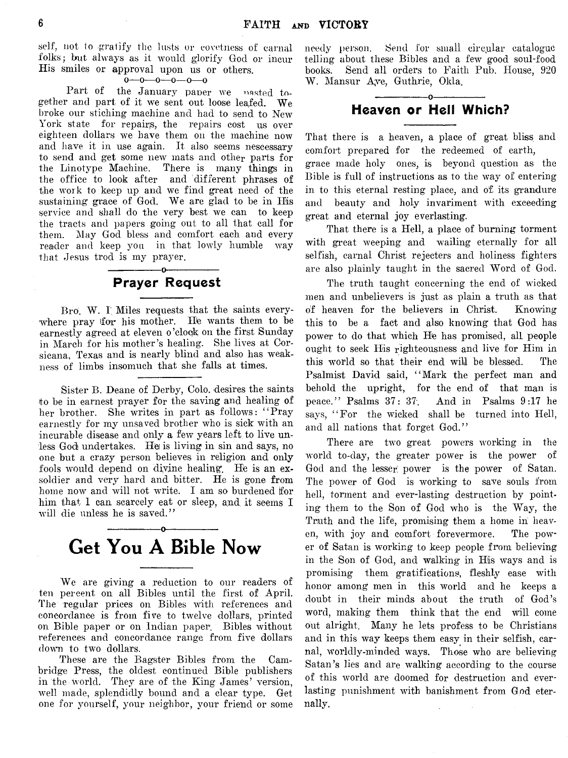self, not to gratify the lusts or eovetness of carnal folks; but always as it would glorify God or incur His smiles or approval upon us or others.

#### $0-0-0-0-0-0$

Part of the January paper we pasted together and part of it we sent out loose lea,fed. We broke our stiching machine and had to send to New York state for repairs, the repairs cost us over eighteen dollars we have them on the machine now and have it in use again. It also seems nescessary to send and get some new mats and other parts for the Linotype Machine. There is many things in the office to look after and different phrases of the work to keep up and we find great need of the sustaining grace of God. We are glad to be in His service and shall do the very best we can to keep the tracts and papers going out to all that call for them. May God bless and comfort each and every reader and keep yon in that lowly humble way that Jesus trod is my prayer.

#### -----------------o----------------- Prayer Request

Bro. W. I. Miles requests that the saints everywhere pray for his mother. He wants them to be earnestly agreed at eleven o 'clock on the first Sunday in March for his mother's healing. She lives at Corsicana, Texas and is nearly blind and also has weakness of limbs insomuch that she falls at times.

Sister B. Deane of Derby, Colo, desires the saints to be in earnest prayer for the saving and healing of her brother. She writes in part as follows: " Pray earnestly for my unsaved brother who is sick with an incurable disease and only a few years left to live unless God undertakes. He is living in sin and says, no one but a crazy person believes in religion and only fools would depend on diyine healing. He is an exsoldier and very hard and bitter. He is gone from home now and will not write. I am so burdened for him that I can scarcely eat or sleep, and it seems I will die unless he is saved."

### -----------------o----------------- Get You A Bible Now

We are giving a reduction to our readers of ten percent on all Bibles until the first of April. The regular prices on Bibles with references and concordance is from five to twelve dollars, printed on Bible paper or on Indian paper. Bibles without references and concordance range from five dollars down to two dollars.

These are the Bagster Bibles from the Cambridge Press, the oldest continued Bible publishers in the world. They are of the King James' version, well made, splendidly bound and a clear type. Get one for yourself, your neighbor, your friend or some needy person. Send for small circular catalogue telling about these Bibles and a few good soul-food books. Send all orders to Faith Pub. House, 920 W. Mansur *Aye,* Guthrie, Olda.

#### ---------------- o---------------- Heaven or Hell Which?

That there is a heaven, a place of great bliss and comfort prepared for the redeemed of earth, grace made holy ones, is beyond question as the Bible is full of instructions as to the way of entering in to this eternal resting place, and of its grandure and beauty and holy invariment with exceeding great and eternal joy everlasting.

That there is a Hell, a place of burning torment with great weeping and wailing eternally for all selfish, carnal Christ rejecters and holiness fighters are also plainly taught in the sacred Word of God.

The truth taught concerning the end of wicked men and unbelievers is just as plain a truth as that of heaven for the believers in Christ. Knowing this to be a fact and also knowing that God has power to do that which He has promised, all people ought to seek His righteousness and live for Him in this world so that their end will be blessed. The Psalmist David said, " Mark the perfect man and behold the upright, for the end of that man is peace." Psalms  $37:37$ . And in Psalms  $9:17$  he says, "For the wicked shall be turned into Hell, and all nations that forget God."

There are two great powers working in the world to-day, the greater power is the power of God and the lesser power is the power of Satan. The power of God is working to save souls from hell, torment and ever-lasting destruction by pointing them to the Son of God who is the Way, the Truth and the life, promising them a home in heaven, with joy and comfort forevermore. The power of Satan is working to keep people from believing in the Son of God, and walking in His ways and is promising them gratifications, fleshly ease with honor among men in this world and he keeps a doubt in their minds about the truth of God's word, making them think that the end will come out alright. Many he lets profess to be Christians and in this way keeps them easy in their selfish, carnal, worldly-minded ways. Those who are believing Satan's lies and are walking according to the course of this world are doomed for destruction and everlasting punishment with banishment from God eternally.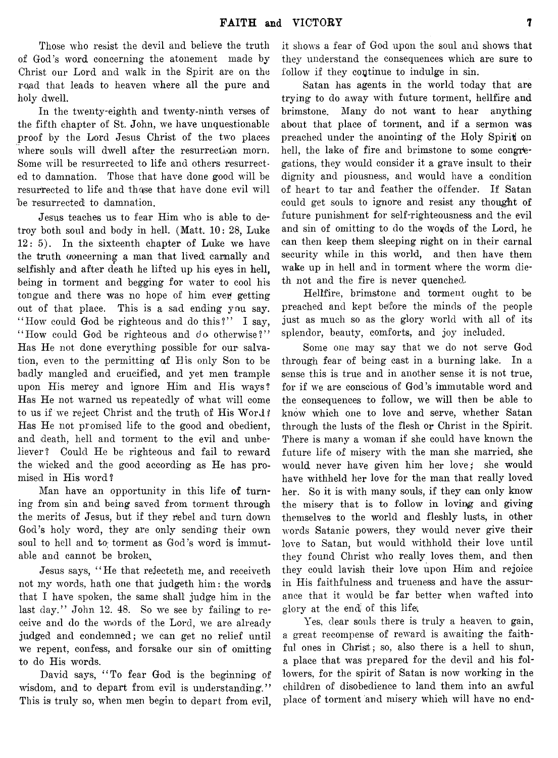Those who resist the devil and believe the truth of God's word concerning the atonement made by Christ our Lord and walk in the Spirit are on the road that leads to heaven where all the pure and holy dwell.

In the twenty-eighth and twenty-ninth verses of the fifth chapter of St. John, we have unquestionable proof by the Lord Jesus Christ of the two places where souls will dwell after the resurrection morn. Some will be resurrected to life and others resurrected to damnation. Those that have done good will be resurrected to life and thqse that have done evil will be resurrected to damnation.

Jesus teaches us to fear Him who is able to detroy both soul and body in hell. (Matt. 10: 28, Luke 12: 5). In the sixteenth chapter of Luke we have the truth concerning a man that lived carnally and selfishly and after death he lifted up his eyes in hell, being in torment and begging for water to cool his tongue and there was no hope of him ever getting out of that place. This is a sad ending you say. "How could God be righteous and do this?" I say, "How could God be righteous and do otherwise?" Has He not done everything possible for our salvation, even to the permitting qf His only Son to be badly mangled and crucified, and yet men trample upon His mercy and ignore Him and His ways? Has He not warned us repeatedly of what will come to us if we reject Christ and the truth of His Word? Has He not promised life to the good and obedient, and death, hell and torment to the evil and unbeliever? Could He be righteous and fail to reward the wicked and the good according as He has promised in His word?

Man have an opportunity in this life of turning from sin and being saved from torment through the merits of Jesus, but if they rebel and turn down God's holy word, they are only sending their own soul to hell and to torment as God's word is immutable and cannot be broken,.

Jesus says, " He that rejecteth me, and receiveth not my words, hath one that judgeth him : the words that I have spoken, the same shall judge him in the last day." John 12. 48. So we see by failing to receive and do the words of the Lord, we are already judged and condemned; we can get no relief until we repent, confess, and forsake our sin of omitting to do His words.

David says, "To fear God is the beginning of wisdom, and to depart from evil is understanding." This is truly so, when men begin to depart from evil, it shows a fear of God upon the soul and shows that they understand the consequences which are sure to follow if they continue to indulge in sin.

Satan has agents in the world today that are trying to do away with future torment, hellfire and brimstone. Many do not want to hear anything about that place of torment, and if a sermon was preached under the anointing of the Holy Spirit on hell, the lake of fire and brimstone to some congregations, they would consider it a grave insult to their dignity and piousness, and would have a condition of heart to tar and feather the offender. If Satan could get souls to ignore and resist any thought of future punishment for self-righteousness and the evil and sin of omitting to do the words of the Lord, he can then keep them sleeping right on in their carnal security while in this world, and then have them wake up in hell and in torment where the worm dieth not and the fire is never quenched.

Hellfire, brimstone and torment ought to be preached and kept before the minds of the people just as much so as the glory world with all of its splendor, beauty, comforts, and joy included.

Some one may say that we do not serve God through fear of being cast in a burning lake. In a sense this is true and in another sense it is not true, for if we are conscious of God's immutable word and the consequences to follow, we *will* then be able to know which one to love and serve, whether Satan through the lusts of the flesh or Christ in the Spirit. There is many a woman if she could have known the future life of misery with the man she married, she would never have given him her love; she would have withheld her love for the man that really loved her. So it is with many souls, if they can only know the misery that is to follow in loving and giving themselves to the world and fleshly lusts, in other words Satanic powers, they would never give their love to Satan, but would withhold their love until they found Christ who really loves them, and then they could lavish their love upon Him and rejoice in His faithfulness and trueness and have the assurance that it would be far better when wafted into glory at the end of this life.

Yes, dear souls there is truly a heaven, to gain, a great recompense of reward is awaiting the faithful ones in Christ; so, also there is a hell to shun, a place that was prepared for the devil and his followers, for the spirit of Satan is now working in the children of disobedience to land them into an awful place of torment and misery which will have no end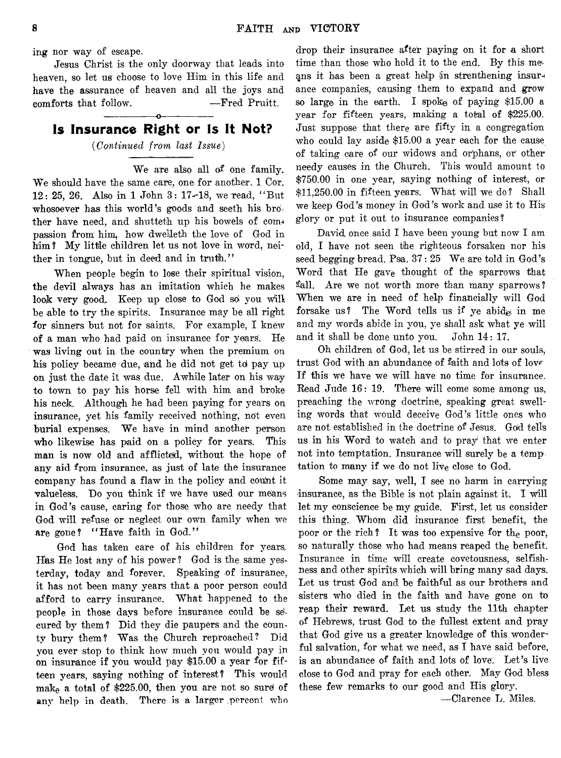ing nor way of escape.

Jesus Christ is the only doorway that leads into heaven, so let us choose to love Him in this life and have the assurance of heaven and all the joys and comforts that follow. — Fred Pruitt.

#### -----------------o----------------- Is Insurance Right or Is It Not?

*(Continued from last Issue)*

We are also all of one family. We should have the same care, one for another. 1 Cor. 12: 25, 26. Also in 1 John 3: 17-18, we read, "But whosoever has this world's goods and seeth his brother have need, and shutteth up his bowels of compassion from him, how dwelleth the love of God in him? My little children let us not love in word, neither in tongue, but in deed and in truth."

When people begin to lose their spiritual vision, the devil always has an imitation which he makes look very good. Keep up close to God so you will be able to try the spirits. Insurance may be all right for sinners but not for saints. For example, I knew of a man who had paid on insurance for years. He was living out in the country when the premium on his policy became due, and he did not get td pay up on just the date it was due. Awhile later on his way to town to pay his horse fell with him and broke his neck. Although he had been paying for years on insurance, yet his family received nothing, not even burial expenses. We have in mind another person who likewise has paid on a policy for years. This man is now old and afflicted, without the hope of any aid from insurance, as just of late the insurance company has found a flaw in the policy and count it valueless. Do you think if we have used our means in God's cause, caring for those who are needy that God will refuse or neglect our own family when we are gone? " Have faith in God."

God has taken care of his children for years. Has He lost any of his power? God is the same yesterday, today and forever. Speaking of insurance, it has not been many years that a poor person could afford to carry insurance. What happened to the people in those days before insurance could be secured by them? Did they die paupers and the county bury them? Was the Church reproached? Did you ever stop to think how much you would pay in on insurance if you would pay \$15.00 a year for fifteen years, saying nothing of interest? This would mak<sub>e</sub> a total of \$225.00, then you are not so sure of any help in death. There is a larger percent who

drop their insurance after paying on it for a short time than those who hold it to the end. By this means it has been a great help in strenthening insure ance companies, causing them to expand and grow so large in the earth. I spoke of paying \$15.00 a year for fifteen years, making a total of \$225.00. Just suppose that there are fifty in a congregation who could lay aside \$15.00 a year each for the cause of taking care of our widows and orphans, *ot* other needy causes in the Church. This would amount to \$750.00 in one year, saying nothing of interest, or \$11,250.00 in fifteen years. What will we do? Shall we keep God's money in God's work and use it to His glory or put it out to insurance companies?

David once said I have been young but now I am old, I have not seen the righteous forsaken nor his seed begging bread. Psa. 37: 25 We are told in God's Word that He gave thought of the sparrows that fall. Are we not worth more than many sparrows? When we are in need of help financially will God forsake us? The Word tells us if ye abide in me and my words abide in you, ye shall ask what ye will and it shall be done unto you. John 14: 17.

Oh children of God, let us be stirred in our souls, trust God with an abundance of faith and lots of love If this we have we will have no time for insurance. Read Jude 16: 19. There will come some among us, preaching the wrong doctrine, speaking great swelling words that would deceive God's little ones who are not established in the doctrine of Jesus. God tells us in his Word to watch and to pray that we enter not into temptation. Insurance will surely be a temp tation to many if we do not live close to God.

Some may say, well, I see no harm in carrying insurance, as the Bible is not plain against it. I will let my conscience be my guide. First, let us consider this thing. Whom did insurance first benefit, the poor or the rich? It was too expensive for the poor, so naturally those who had means reaped the benefit. Insurance in time will create covetousness, selfishness and other spirits which will bring many sad days. Let us trust God and be faithful as our brothers and sisters who died in the faith and have gone on to reap their reward. Let us study the 11th chapter of Hebrews, trust God to the fullest extent and pray that God give us a greater knowledge of this wonderful salvation, for what we need, as I have said before, is an abundance of faith and lots of love. Let's live close to God and pray for each other. May God bless these few remarks to our good and His glory.

— Clarence L. Miles.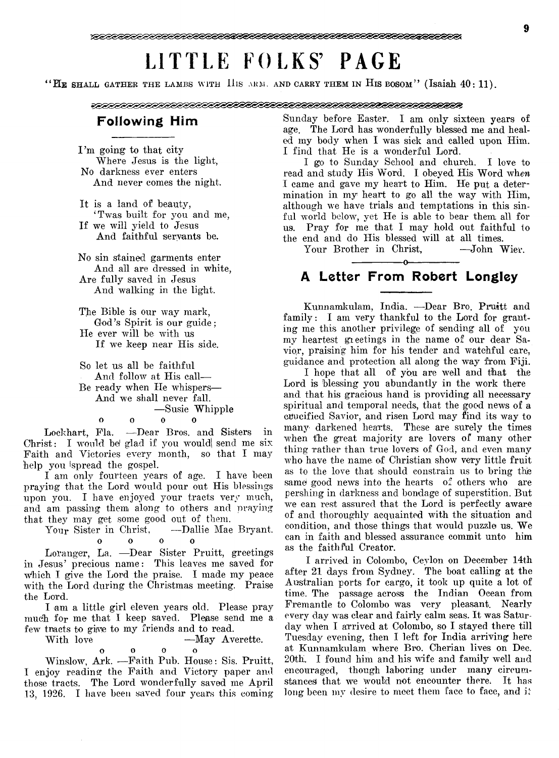# LITTLE FOLKS' PAGE

"HE SHALL GATHER THE LAMBS WITH HIS ARM. AND CARRY THEM IN HIS BOSOM" (Isaiah 40: 11).

#### 

#### Following Him

I'm going to that city Where Jesus is the light, No darkness ever enters And never comes the night.

It is a land of beauty, ' Twas built for you and me, If we will yield to Jesus And faithful servants be.

No sin stained garments enter And all are dressed in white, Are fully saved in Jesus And walking in the light.

The Bible is our way mark, God 's Spirit is our guide; He ever will be with us If we keep near His side.

So let us all be faithful And follow at His call— Be ready when He whispers— And we shall never fall. — Susie Whipple  $\begin{array}{ccc} 0 & 0 & 0 \end{array}$ 

Lockhart, Fla. — Dear Bros, and Sisters in Christ: I would be glad if you would send me six Faith and Victories every month, so that I may help you ispread the gospel.

I am only fourteen years of age. I have been praying that the Lord would pour out His blessings upon you. I have enjoyed your tracts very much, and am passing them along to others and praying that they may get some good out of them.<br>Your Sister in Christ, ---Dallie Mae Bryant.

Your Sister in Christ,  $\mathbf{0}$   $\mathbf{0}$  $\Omega$ 

Loranger, La. —Dear Sister Pruitt, greetings in Jesus' precious name: This leaves me saved for which I give the Lord the praise. I made my peace with the Lord during the Christmas meeting. Praise the Lord.

I am a little girl eleven years old. Please pray much for me that I keep saved. Please send me a few tracts to give to my friends and to read.

With love — May Averette.

 $\ddot{\mathbf{o}}$ 

$$
\begin{array}{ccc}\n0 & 0 & 0\n\end{array}
$$

Winslow, Ark. — Faith Pub. House: Sis. Pruitt, I enjoy reading the Faith and Victory paper and those tracts. The Lord wonderfully saved me April 13, 1926. I have been saved four years this coming

Sunday before Easter. I am only sixteen years of age. The Lord has wonderfully blessed me and healed my body when I was sick and called upon Him. I find that He is a wonderful Lord.

I go to Sunday School and church. I love to read and study His Word. I obeyed His Word wh*en* I came and gave my heart to Him. He put a determination in my heart to go all the way with Him, although we have trials and temptations in this sinful world below, yet He is able to bear them all for us. Pray for me that I may hold out faithful to the end and do His blessed will at all times.

Your Brother in Christ,  $-$ John Wier. ---------------- o-----------------

#### A Letter From Robert Longley

Kunnamkulam, India. — Dear Bro. Pruitt and family: I am very thankful to the Lord for granting me this another privilege of sending all of you my heartest gieetings in the name of our dear Savior, praising him for his tender and watchful care, guidance and protection all along the way from Fiji.

I hope that all of you are well and that the Lord is blessing you abundantly in the work there and that his gracious hand is providing all necessary spiritual and temporal needs, that the good news of a crucified Savior, and risen Lord may find its way to many darkened hearts. These are surely the times when the great majority are lovers of many other thing rather than true lovers of God, and even many who have the name of Christian show very little fruit as to the love that should constrain us to bring the same good news into the hearts of others who are pershing in darkness and bondage of superstition. But we can rest assured that the Lord is perfectly aware of and thoroughly acquainted with the situation and condition, and those things that would puzzle us. We can in faith and blessed assurance commit unto him as the faithful Creator.

I arrived in Colombo, Ceylon on December 14th after 21 days from Sydney. The boat calling at the Australian ports for cargo, it took up quite a lot of time. The passage across the Indian Ocean from Fremantle to Colombo was very pleasant. Nearly every day was clear and fairly calm seas. It was Saturday when I arrived at Colombo, so I stayed there till Tuesday evening, then I left for India arriving here at Kunnamkulam where Bro. Cherian lives on Dec. 20th. I found him and his wife and family well and encouraged, though laboring under many circumstances that we would not encounter there. It has long been my desire to meet them face to face, and *it*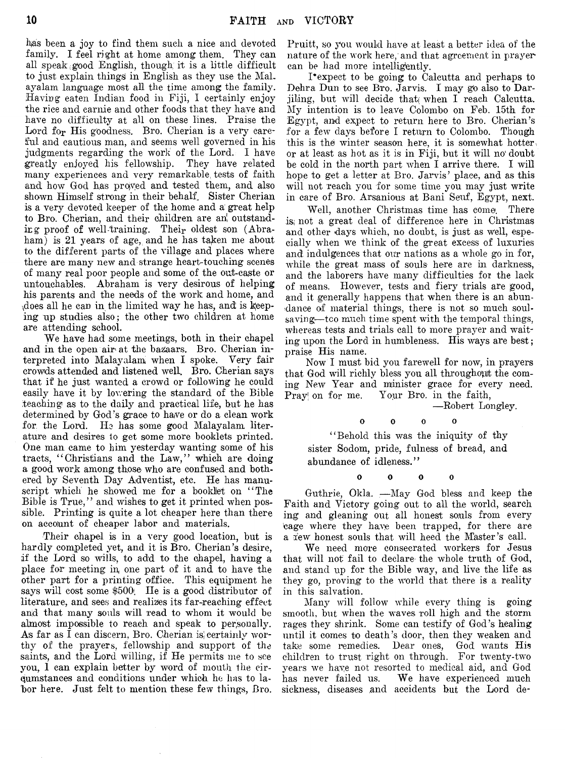has been a joy to find them such a nice and devoted family. I feel right at home among them. They can all speak;good English, though, it is a little difficult to just explain things in English as they use the Malayalam language most all the time among the family. Having eaten Indian food in Fiji, I certainly enjoy the rice and carnie and other foods that they have and have no difficulty at all on these lines. Praise the Lord for His goodness. Bro. Cherian is a very careful and cautious man, and seems Well governed in his judgments regarding the work of the Lord. I have greatly enjoyed his fellowship. They have related many experiences and very remarkable, tests of faith and how God has proved and tested them, and also shown Himself strong in their behalf. Sister Cherian is a very devoted keeper of the home and a great help to Bro. Cherian, and their children are an' outstanding proof of well-training. Their oldest son (Abraham) is 21 years of age, and he has taken me about to the different parts of the village and places where there are many new and strange heart-touching scenes of many real poor people and some of the out-caste or untouchables. Abraham is very desirous of helping his parents and the needs of the work and home, and does all he can in the limited way he has, and is keeping up studies also; the other two children at home are attending school.

We have had some meetings, both in their chapel and in the open air at the bazaars. Bro. Cherian interpreted into Malayalam when I spoke. Very fair crowds attended and listened well. Bro. Cherian says that if he just wanted a crowd or following he could easily have it by lowering the standard of the Bible teachin g as to the daily and practical life, but he has determined by God's grace to have or do a clean work for the Lord. He has some good Malayalam literature and desires to get some more booklets printed. One man came to him yesterday wanting some of his tracts, " Christians and the Law," which are doing a good work among those who are confused and bothered by Seventh Day Adventist, etc. He has manuscript which he showed me for a booklet on " The Bible is True," and wishes to get it printed when possible. Printing is quite a lot cheaper here than there on account of cheaper labor and materials.

Their chapel is in a very good location, but is hardly completed yet, and it is Bro. Cherian's desire, if the Lord so wills, to add to the chapel, having a place for meeting in, one part of it and to have the other part for a printing office. This equipment he says will cost some \$500<sup>°</sup>. He is a good distributor of literature, and sees and realises its far-reaching effect and that many souls will read to whom it would be almost impossible to reach and speak to personally. As far as I can discern, Bro. Cherian is; certainly worthy of the prayers, fellowship and support of the saints, and the Lord willing, if He permits me to see you, 1 can explain better by word of mouth the circumstances and conditions under which he has to labor here. Just felt to mention these few things, Bro. Pruitt, so you would have at least a better idea of the nature of the work here, and that agreement in prayercan be had more intelligently.

Dexpect to be going to Calcutta and perhaps to Dehra Dun to see Bro. Jarvis. I may go also to Darjiling, but will decide thati when I reach Calcutta. My intention is to leave Colombo on Feb. 15th for Egypt, and expect to return here to Bro. Cherian's for a few days before I return to Colombo. Though this is the winter season here, it is somewhat hotter, or at least as hot as it is in Fiji, but it will no' doubt be cold in the north part when I arrive there. I will hope to get a letter at Bro. Jarvis' place, and as this will not reach you for some time you may just write in care of Bro. Arsanious at Bani Seuf, Egypt, next.

Well, another Christmas time has come. There is; not a great deal of difference here in Christmas and other days which, no doubt, is just as well, especially when we think of the great excess of luxuries and indulgences that ou'r nations as a whole go in for, while the great mass of souls here are in darkness, and the laborers have many difficulties for the lack of means. However, tests and fiery trials are good, and it generally happens that when there is an abundance of material things, there is not so much soulsaving—too much time spent with the temporal things, whereas tests and trials call to more prayer and waiting upon the Lord in humbleness. His ways are best; praise His name.

Now' I must bid you farewell for now, in prayers that God will richly bless you all throughout the coming New Year and minister grace for every need. Pray! on for me. Your Bro. in the faith,

—Robert Longley.

#### 0 0 0 0

"Behold this was the iniquity of thy sister Sodom, pride, fulness of bread, and abundance of idleness."

**0 0 0 0**

Guthrie, Okla. —May God bless and keep the Faith and Victory going out to all the world, search ing and gleaning out all honest souls from every cage where they have been trapped, for there are a few honest souls that will heed the Master's call.

We need more consecrated workers for Jesus that will not fail to declare the whole truth of God, and stand up for the Bible way, and live the life as they go, proving to the world that there is a reality in this salvation.

Many will follow while every thing is going smooth, but when the waves roll high and the storm rages they shrink. Some can testify of God's healing until it comes to death's door, then they weaken and take some remedies. Dear ones, God wants His children to trust right on through. For twenty-two years we have not resorted to medical aid, and God has never failed us. We have experienced much sickness, diseases and accidents but the Lord de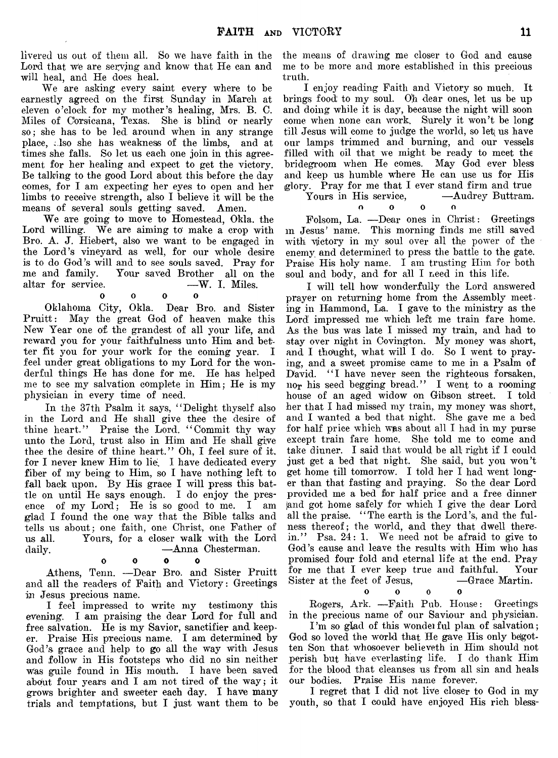livered us out of them all. So we have faith in the Lord that we are serving and know that He can and will heal, and He does heal.

We are asking every saint every where to be earnestly agreed on the first Sunday in March at eleven o'clock for my mother's healing, Mrs. B. C. Miles of Corsicana, Texas. She is blind or nearly so; she has to be led. around when in any strange place, ;.lso she has weakness of the limbs, and at times she falls. So let us each one join in this agreement for her healing and expect to get the victory. Be talking to the good Lord about this before the day comes, for I am expecting her eyes to open and her limbs to receive strength, also I believe it will be the means of several souls getting saved. Amen.

We are going to move to Homestead, Okla. the Lord willing. We are aiming to' make a crop with Bro. A. J. Hiebert, also we want to be engaged in the Lord's vineyard as well, for our whole desire is to do God's will and to see souls saved. Pray for me and family. Your saved Brother all on the altar for service.  $-$ W. I. Miles. altar for service.

0 0 0 0 Oklahoma City, Okla. Dear Bro. and Sister Pruitt: May the great God of heaven make this New Year one of the grandest of all your life, and reward you for your faithfulness unto Him and better fit you for your work for the coming year. I feel under great obligations to my Lord for the wonderful things He has done for me. He has helped me to see my salvation complete in Him; He is my physician in every time of need.

In the 37th Psalm it says, " Delight thyself also in the Lord and He shall give thee the desire of thine heart." Praise the Lord. "Commit thy way unto the Lord, trust also in Him and He shall give thee the desire of thine heart." Oh, I feel sure of it, for I never knew Him to lie. I have dedicated every fiber of my being to Him, so I have nothing left to fall back upon. By His grace I will press this battle on until He says enough. I do enjoy the presence of my Lord; He is so good to me. I am glad I found the one way that the Bible talks and tells us about; one faith, one Christ, one Father of us all. Yours, for a closer walk with the Lord daily. — Anna Chesterman.

0 0 0 0

Athens, Tenn. — Dear Bro. and Sister Pruitt and all the readers of Faith and Victory: Greetings in Jesus precious name.

I feel impressed to write my testimony this evening. I am praising the dear Lord for full and free salvation. He is my Savior, sanctifier and keeper. Praise His precious name. I am determined by God's grace and help to go all the way with Jesus and follow in His footsteps who did no sin neither was guile found in His mouth. I have been saved about four years and I am not tired of the way; it grows brighter and sweeter each day. I have many trials and temptations, but I just want them to be

the means of drawing me closer to God and cause me to be more and more established in this precious truth.

I enjoy reading Faith and Victory so much. It brings food to my soul. Oh dear ones, let us be up and doing while it is day, because the night will soon come when none can work. Surely it won't be long till Jesus will come to judge the world, so let us have our lamps trimmed and burning, and our vessels filled with oil that we might be ready to meet the bridegroom when He comes. May God ever bless and keep us humble where He can use us for His glory. Pray for me that I ever stand firm and true

Yours in His service,

o o o o

Folsom, La, —Dear ones in Christ: Greetings m Jesus' name. This morning finds me still saved with victory in my soul over all the power of the enemy and determined to press the battle to the gate. Praise His holy name. I am trusting Him for both soul and body, and for all I need in this life.

I will tell how wonderfully the Lord answered prayer on returning home from the Assembly meeting in Hammond, La. I gave to the ministry as the Lord impressed me which left me train fare home. As the bus was late I missed my train, and had to stay over night in Covington. My money was short, and I thought, what will I do. So I went to praying, and a sweet promise came to me in a Psalm of David. "I have never seen the righteous forsaken, nor his seed begging bread." I went to a rooming house of an aged widow on Gibson street. I told her that I had missed my train, my money was short, and I wanted a bed that night. She gave me a bed for half price which was about all I had in my purse except train fare home. She told me to come and take dinner. I said that would be all right if I could just get a bed that night. She said, but you won't get home till tomorrow. I told her I had went longer than that fasting and praying. So the dear Lord provided me a bed for half price and a free dinner jand got home safely for which I give the dear Lord all the praise. "The earth is the Lord's, and the fulness thereof; the world, and they that dwell therein." Psa. 24: 1. *We* need not be afraid to give to God's cause and leave the results with Him who has promised four fold and eternal life at the end. Pray for me that I ever keep true and faithful. Your Sister at the feet of Jesus, -Grace Martin. 0 0 0 0

Rogers, Ark. — Faith Pub. House: Greetings in the precious name of our Saviour and physician.

I'm so glad of this wonderful plan of salvation; God so loved the world that He gave His only begotten Son that whosoever believeth in Him should not perish but have everlasting life. I do thank Him for the blood that cleanses us from all sin and heals our bodies. Praise His name forever.

I regret that I did not live closer to God in my youth, so that I could have enjoyed His rich bless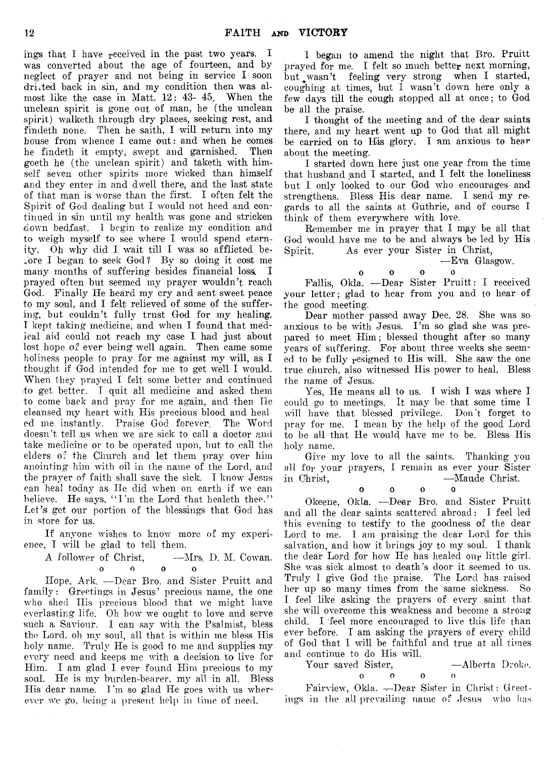ings that I have received in the past two years. I was converted about the age of fourteen, and by neglect of prayer and not being in service I soon drifted back in sin, and my condition then was almost like the case in Matt. 12: 43- 45. When the unclean spirit is gone out of man, he (the unclean spirit) walketh through dry places, seeking rest, and findeth none. Then he saith, I will return into my house from whence I came out: and when he comes he findeth it empty, swept and garnished. Then goeth he (the unclean spirit) and taketh with himself seven other spirits more wicked than himself and they enter in and dwell there, and the last state of that man is worse than the first. I often felt the Spirit of God dealing but I would not heed and continued in sin until my health was gone and stricken down bedfast. I begin to realize my condition and to weigh myself to see where I would spend eternity. Oh why did I Wait till I was so afflicted before I began to seek God? By so doing it cost me many months of suffering besides financial lossi. I prayed often but seemed my prayer wouldn't reach God. Finally He heard my cry and sent sweet peace to my soul, and I felt relieved of some of the suffering, but couldn't fully trust God for my healing. I kept taking medicine, and when I found that medical aid could not reach my case I had just about lost hope of ever being well again. Then came some holiness people to pray for me against my will, as I thought if God intended for me to get well I would. When they prayed I felt some better and continued to get better. I quit all medicine and asked them to come back and pray for me again, and then He cleansed my heart with His precious blood and healed me instantly. Praise God forever. The Word doesn't tell us when we are sick to call a doctor and take medicine or to be operated upon, but to call the elders of the Church and let them pray over him anointing him with oil in the name of the Lord, and the prayer of faith shall save the sick. I know Jesus can heal today as He did when on earth if we can believe. He says, "I'm the Lord that healeth thee." Let's get our portion of the blessings that God has in store for us.

If anyone wishes to know more of my experience, I will be glad to tell them.

A follower of Christ, — Mrs. D. M. Cowan. 0 0 0 0

Hope, Ark. — Dear Bro. and Sister Pruitt and family: Greetings in Jesus' precious name, the one who shed Ilis precious blood that we might have everlasting life. Oh how we ought to love and serve such a Saviour. I can say with the Psalmist, bless the Lord, oh my soul, all that is within me bless His holy name. Truly He is good to me and supplies my every need and keeps me with a decision to live for Him. I am glad I ever found Him precious to my soul. He is my burden-bearer, my all in all. Bless His dear name. I'm so glad He goes with us wherever we go, being a present help in time of need.

I began to amend the night that Bro. Pruitt prayed for me. I felt so much better next morning, but wasn't feeling very strong when I started, coughing at times, but I wasn't down here only a few days till the cough stopped all at once; to God be all the praise.

I thought of the meeting and of the dear saints there, and my heart went up to God that all might be carried on to His glory. I am anxious to hear about the meeting.

I started down here just one year from the time that husband jand I started, and I felt the loneliness but I only looked to our God who encourages and strengthens. Bless His dear name. I send my regards to all the saints at Guthrie, and of course I think of them everywhere with love.

Remember me in prayer that I may be all that God would have me to be and always be led by His Spirit. As ever your Sister in Christ,

—Eva Glasgow.

0 0 0 0 Fallis, Okla. — Dear Sister Pruitt: I received your letter; glad to hear from you and to hear of the good meeting.

Dear mother passed away Dec. 28. She was so anxious to be with Jesus. I 'm so glad she was prepared to meet Him; blessed thought after so many years of suffering. For about three weeks she seemed to be fully resigned to His will. She saw the one true church, also witnessed His power to heal. Bless the name of Jesus.

Yes, He means all to us. I wish I was where I could go to meetings. It may be that some time I will have that blessed privilege. Don't forget to pray for me. I mean by the help of the good Lord to be all that He would have me to be. Bless His holy name.

Give my love to all the saints. Thanking you all for your prayers, I remain as ever your Sister in Christ, —Maude Christ.

0 0 0 0 Okeene, Okla, — Dear Bro. and Sister Pruitt and all the dear saints scattered abroad: I feel led this evening to testify to the goodness of the dear Lord to me. I am praising the dear Lord for this salvation, and how it brings joy to my soul. I thank the dear Lord for how He has healed our little girl. She was sick almost to death's door it seemed to us. Truly I give God the praise. The Lord has raised her up so many times from the same sickness. So I feel like asking the prayers of every saint that she will overcome this weakness and become a strong child. I 'feel more encouraged to live this life than ever before, I am asking the prayers of every child of God that I will be faithful and true at all times and continue to do His will.

Your saved Sister, ——Alberta Droke. 0 0 0 0

Fairview, Okla. ---Dear Sister in Christ: Greetings in the all prevailing name of Jesus- who has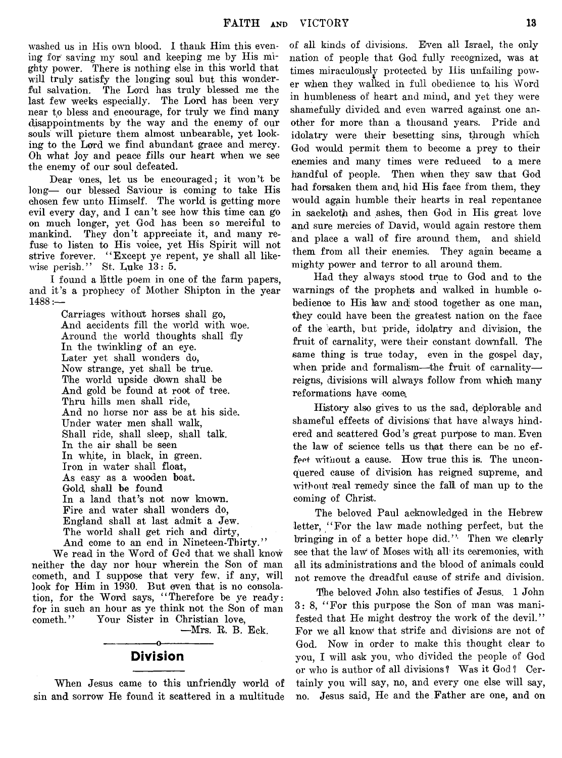washed us in His own blood. I thank Him this evening for' saving my soul and keeping me by His mighty power. There is nothing else in this world that will truly satisfy the longing soul but this wonderful salvation. The Lord has truly blessed me the last few weeks especially. The Lord has been very near to bless and encourage, for truly we find many disappointments by the way and the enemy of our souls will picture them almost unbearable, yet looking to the Lord we find abundant grace and mercy. Oh what joy and peace fills our heart when we see the enemy of our soul defeated.

Dear 'ones, let us be encouraged; it won't be long— our blessed Saviour is coming to take His chosen few unto Himself. The world is getting more evil every day, and I can't see how this time can go on much longer, yet God has been so merciful to mankind. They don't appreciate it, and many refuse to listen to His voice, yet His Spirit will not strive forever. "Except ye repent, ye shall all likewise perish." St. Luke 13: 5.

I found a little poem in one of the farm papers, and it's a prophecy of Mother Shipton in the year  $1488:$ 

> Carriages without horses shall go, And accidents fill the world with woe. Around the world thoughts shall fly In the twinkling of an eye. Later yet shall wonders do, Now strange, yet shall be tr'ue. The world upside down shall be And gold be found at root of tree. Thru hills men shall ride, And no horse nor ass be at his side. Under water men shall walk, Shall ride, shall sleep, shall talk. In the air shall be seen In white, in black, in green. Iron in water shall float, As easy as a wooden boat. Gold shall be found In a land that's not now known. Fire and water shall wonders do, England shall at last admit a Jew. The world shall get rich and dirty, And come to an end in Nineteen-Thirty."

We read in the Word of God that we shall know neither the day nor hour wherein the Son of man cometh, and I suppose that very few, if any, will **look** for Him in **1930.** But oven that is no consolation, for the Word says, " Therefore be ye ready: for in such an hour as ye think not the Son of man cometh." Your Sister in Christian love,

—Mrs. R. B. Eck.

#### -----------------o----------------- Division

When Jesus came to this unfriendly world of sin and sorrow He found it scattered in a multitude

of all kinds of divisions. Even all Israel, the only nation of people that God fully recognized, was at times miraculously protected by His unfailing power when they walked in full obedience to- his Word in humbleness of heart and mind, and yet they were shamefully divided and even warred against one another for more than a thousand years. Pride and idolatry were their besetting sins, through which God would permit them to become a prey to their enemies and many times were reduced to a mere handful of people. Then when they saw that God had forsaken them and, hid His face from them, they would again humble their hearts in real repentance in sackcloth and ashes, then God in His great love and sure mercies of David, would again restore them and place a wall of fire around them, and shield them from all their enemies. They again became a mighty power and terror to all around them.

Had they always stood true to God and to the warnings of the prophets and walked in humble obedience to His law and stood together as one man, they could have been the greatest nation on the face of the earth, but pride, idolatry and division, the fruit of carnality, were their constant downfall. The same thing is true today, even in the gospel day, when pride and formalism—the fruit of carnality reigns, divisions will always follow from which many reformations have come

History also gives to us the sad, deplorable and shameful effects of divisions that have always hindered and scattered God's great purpose to man. Even the law of science tells us that there can be no effect without a cause. How true this is. The unconquered cause of division has reigned supreme, and without real remedy since the fall of man up to the coming of Christ.

The beloved Paul acknowledged in the Hebrew letter, "For the law made nothing perfect, but the bringing in of a better hope did." Then we clearly see that the law of Moses with all its ceremonies, with all its administrations and the blood of animals could not remove the dreadful cause of strife and division.

The beloved John also testifies of Jesus. 1 John 3: 8, " For this purpose the Son of man was manifested that He might destroy the work of the devil." For we all know that strife and divisions are not of God. Now in order to make this thought clear to you, I will ask you, who divided the people of God or who is author of all divisions ? Was it God ? Certainly you will say, no, and every one else will say, no. Jesus said, He and the Father are one, and on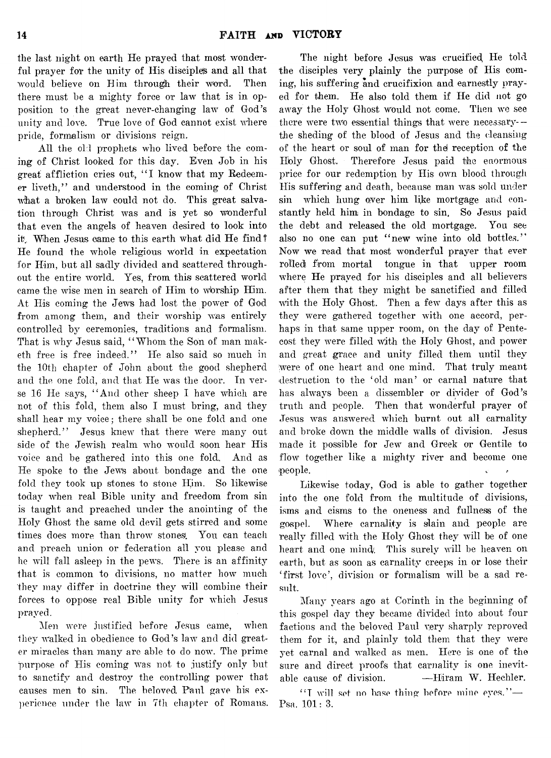the last night on earth He prayed that most wonderful prayer for the unity of His disciples and all that would believe on Him through their word. Then there must be a mighty force or law that is in opposition to the great never-changing law of God's unity and love. True love of God cannot exist where pride, formalism or divisions reign.

All the old prophets who lived before the coming of Christ looked for this day. Even Job in his great affliction cries out, "I know that my Redeemer liveth," and understood in the coming of Christ what a broken law could not do. This great salvation through Christ was and is yet so Wonderful that even the angels of heaven desired to look into it. When Jesus came to this earth what did He find? He found the whole religious world in expectation for Him, but all sadly divided and scattered throughout the entire world. Yes, from this scattered world came the wise men in search of Him to wbrship Him. At His coming the Jews had lost the power of God from among them, and their worship was entirely controlled by ceremonies, traditions and formalism. That is why Jesus said, "Whom the Son of man maketh free is free indeed." He also said so much in the 10th chapter of John about the good shepherd and the one fold, and that He was the door. In verse 16 He says, " And other sheep I have which are not of this fold, them also I must bring, and they shall hear my voice; there shall be one fold and one shepherd." Jesus knew that there were many out side of the Jewish realm who would soon hear His voice and be gathered into this one fold. And as He spoke to the Jews about bondage and the one fold they took up stones to stone Him. So likewise today when real Bible unity and freedom from sin is taught and preached under the anointing of the Holy Ghost the same old devil gets stirred and some times does more than throw stones. You can teach and preach union or federation all you please and he will fall asleep in the pews. There is an affinity that is common to divisions, no matter how much they may differ in doctrine they will combine their forces to oppose real Bible unity for which Jesus prayed.

Men were justified before Jesus came, when they Walked in obedience to God's law and did greater miracles than many are able to do now. The prime purpose of His coming was not to justify only but to sanctify and destroy the controlling power that causes men to sin. The beloved Paul gave his experience under the law in 7th chapter of Romans.

The night before Jesus was crucified. He told, the disciples very plainly the purpose of His coming, his suffering and crucifixion and earnestly prayed for them. He also told them if He did not go away the Holy Ghost would not come. Then we see there were two essential things that were necessary- the sheding of the blood of Jesus and the cleansing of the heart or soul of man for the reception of the Holy Ghost. Therefore Jesus paid the enormous price for our redemption by His own blood through His suffering and death, because man was sold under sin which hung oyer him like mortgage and constantly held him in bondage to sin. So Jesus paid the debt and released the old mortgage. Yon see also no one can put "new wine into old bottles." Now we read that most wonderful prayer that ever rolled from mortal tongue in that upper room where He prayed for his disciples and all believers after them that they might be sanctified and filled with the Holy Ghost. Then a few days after this as they were gathered together with one accord, perhaps in that same upper room, on the day of Pentecost they were filled With the Holy Ghost, and power and great grace and unity filled them until they were of one heart and one mind. That truly meant destruction to the 'old man' or carnal nature that has always been a dissembler or divider of God's truth and people. Then that wonderful prayer of Jesus was answered which burnt out all carnality and broke down the middle walls of division. Jesus made it possible for Jew and Greek or Gentile to flow together like a mighty river and become one people.

Likewise today, God is able to gather together into the one fold from the multitude of divisions, isms and cisms to the oneness and fullness of the gospel. Where carnality is slain and people are really filled with the Holy Ghost they will be of one heart and one mind. This surely will be heaven on earth, but as soon as carnality creeps in or lose their 'first love', division or formalism will be a sad result.

Many years ago at Corinth in the beginning of this gospel day they became divided into about four factions and the beloved Paul very sharply reproved them for it, and plainly told them that they were yet carnal and walked as men. Here is one of the sure and direct proofs that carnality is one inevitable cause of division. — Hiram W. Hechler. "I will set no base thing before mine eyes." $\rightarrow$ Psa. 101: 3.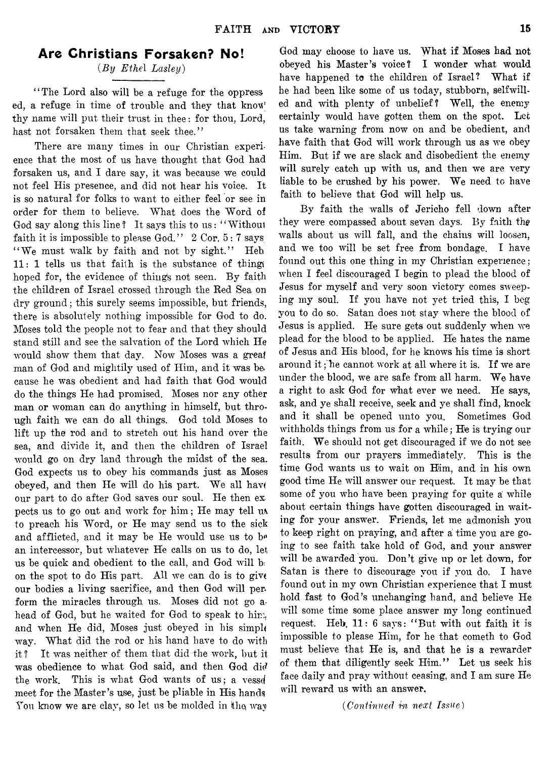#### Are Christians Forsaken? No!

( <sup>j</sup>*By Ethel Lasley)*

" The Lord also will be a refuge for the oppress ed, a refuge in time of trouble and they that know thy name will put their trust in thee: for thou, Lord, hast not forsaken them that seek thee."

There are many times in our Christian experience that the most of us have thought that God had forsaken us, and I dare say, it was because we could not feel His presence, and did not hear his voice. It is so natural for folks to want to either feel or see in order for them to believe. What does the Word ol God say along this line? It says this to us: "Without faith it is impossible to please God."  $2$  Cor.  $5:7$  says "We must walk by faith and not by sight." Heb 11: 1 tells us that faith is the substance of thing hoped for, the evidence of thing's not seen. By faith the children of Israel crossed through the Red Sea on dry ground; this surely seems impossible, but friends, there is absolutely nothing impossible for God to do. Moses told the people not to fear and that they should stand still and see the salvation of the Lord which Tie would show them that day. Now Moses was a great man of God and mightily used of Him, and it was be, cause he was obedient and had faith that God would do the things He had promised. Moses nor any other man or woman can do anything in himself, but through faith we can do all things. God told Moses to lift up the rod and to stretch out his hand over the sea, and divide it, and then the children of Israel would go on dry land through the midst of the sea. God expects us to obey his commands just as Moses obeyed, and then He will do his part. We all hav< our part to do after God saves our soul. He then ex pects us to go out and work for him ; He may tell m to preach his Word, or He may send us to the sick and afflicted, and it may be He would use us to b an intercessor, but whatever He calls on us to do, let us be quick and obedient to the call, and God will b: on the spot to do His part. All we can do is to give our bodies a living sacrifice, and then God will per. form the miracles through us. Moses did not go ahead of God, but he waited for God to speak to him. and when He did, Moses just obeyed in his simple way. What did the rod or his hand have to do with it? It was neither of them that did the work, but it was obedience to what God said, and then God did the work. This is what God wants of us; a vesse meet for the Master's use, just be pliable in His hands You know we are clay, so let us be molded in the way

God may choose to have us. What if Moses had not obeyed his Master's voice? I wonder what would have happened to the children of Israel? What if he had been like some of us today, stubborn, selfwilled and with plenty of unbelief? Well, the enemy certainly would have gotten them on the spot. Let us take warning from now on and be obedient, and have faith that God will work through us as we obey Him. But if we are slack and disobedient the enemy will surely catch up with us, and then we are very liable to be crushed by his power. We need to have faith to believe that God will help us.

By faith the walls of Jericho fell down after they were compassed about seven days. By faith the walls about us will fall, and the chains will loosen, and we too will be set free from bondage. I have found out this one thing in my Christian experience; when I feel discouraged I begin to plead the blood of Jesus for myself and very soon victory comes sweeping my soul. If you have not yet tried this, I beg you to do so. Satan does not stay where the blood of Jesus is applied. He sure gets out suddenly when we plead for the blood to be applied. He hates the name of Jesus and His blood, for he knows his time is short around it ;'he cannot work at all where it is. If we are under the blood, we are safe from all harm. We have a right to ask God for what ever we need. He says, ask, and ye shall receive, seek and ye shall find, knock and it shall be opened unto you. Sometimes God withholds things from us for a while; He is trying our faith. We should not get discouraged if we do not see results from our prayers immediately. This is the time God wants us to wait on Him, and in his own good time He will answer our request. It may be that some of you who have been praying for quite a while about certain things have gotten discouraged in waiting for your answer. Friends, let me admonish you to keep right on praying, and after a time you are going to see faith take hold of God, and your answer will be awarded you. Don't give up or let down, for Satan is there to discourage you if you do. I have found out in my own Christian experience that I must hold fast to God's unchanging hand, and believe He will some time some place answer my long continued request. Heb. 11: 6 says: " But with out faith it is impossible to please Him, for he that cometh to God must believe that He is, and that he is a rewarder of them that diligently seek Him." Let us seek his face daily and pray without ceasing, and I am sure He will reward us with an answer.

*(Continued m next Issue)*